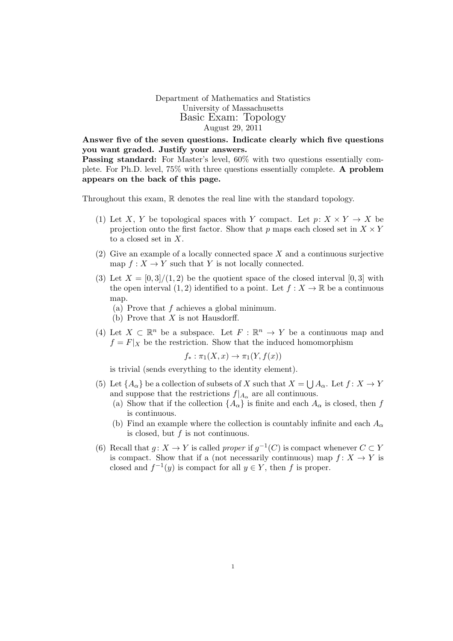Department of Mathematics and Statistics University of Massachusetts Basic Exam: Topology August 29, 2011

Answer five of the seven questions. Indicate clearly which five questions you want graded. Justify your answers.

Passing standard: For Master's level, 60% with two questions essentially complete. For Ph.D. level, 75% with three questions essentially complete. A problem appears on the back of this page.

Throughout this exam,  $\mathbb R$  denotes the real line with the standard topology.

- (1) Let X, Y be topological spaces with Y compact. Let  $p: X \times Y \to X$  be projection onto the first factor. Show that p maps each closed set in  $X \times Y$ to a closed set in X.
- (2) Give an example of a locally connected space X and a continuous surjective map  $f: X \to Y$  such that Y is not locally connected.
- (3) Let  $X = \left[0, 3\right] / (1, 2)$  be the quotient space of the closed interval  $\left[0, 3\right]$  with the open interval  $(1, 2)$  identified to a point. Let  $f : X \to \mathbb{R}$  be a continuous map.
	- (a) Prove that f achieves a global minimum.
	- (b) Prove that  $X$  is not Hausdorff.
- (4) Let  $X \subset \mathbb{R}^n$  be a subspace. Let  $F : \mathbb{R}^n \to Y$  be a continuous map and  $f = F|_X$  be the restriction. Show that the induced homomorphism

$$
f_* : \pi_1(X, x) \to \pi_1(Y, f(x))
$$

is trivial (sends everything to the identity element).

- (5) Let  $\{A_{\alpha}\}\$ be a collection of subsets of X such that  $X = \bigcup A_{\alpha}$ . Let  $f: X \to Y$ and suppose that the restrictions  $f|_{A_{\alpha}}$  are all continuous.
	- (a) Show that if the collection  ${A_{\alpha}}$  is finite and each  $A_{\alpha}$  is closed, then f is continuous.
	- (b) Find an example where the collection is countably infinite and each  $A_{\alpha}$ is closed, but f is not continuous.
- (6) Recall that  $g: X \to Y$  is called proper if  $g^{-1}(C)$  is compact whenever  $C \subset Y$ is compact. Show that if a (not necessarily continuous) map  $f: X \to Y$  is closed and  $f^{-1}(y)$  is compact for all  $y \in Y$ , then f is proper.